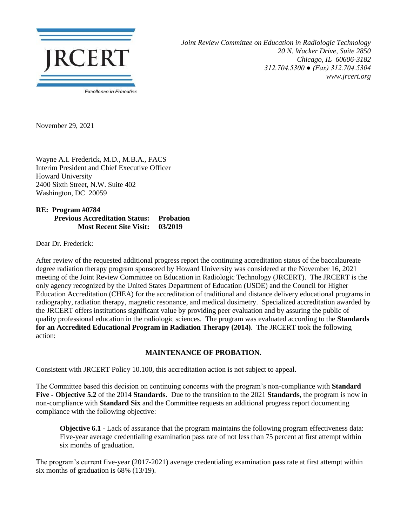

*Joint Review Committee on Education in Radiologic Technology 20 N. Wacker Drive, Suite 2850 Chicago, IL 60606-3182 312.704.5300 ● (Fax) 312.704.5304 www.jrcert.org*

November 29, 2021

Wayne A.I. Frederick, M.D., M.B.A., FACS Interim President and Chief Executive Officer Howard University 2400 Sixth Street, N.W. Suite 402 Washington, DC 20059

## **RE: Program #0784 Previous Accreditation Status: Probation Most Recent Site Visit: 03/2019**

Dear Dr. Frederick:

After review of the requested additional progress report the continuing accreditation status of the baccalaureate degree radiation therapy program sponsored by Howard University was considered at the November 16, 2021 meeting of the Joint Review Committee on Education in Radiologic Technology (JRCERT). The JRCERT is the only agency recognized by the United States Department of Education (USDE) and the Council for Higher Education Accreditation (CHEA) for the accreditation of traditional and distance delivery educational programs in radiography, radiation therapy, magnetic resonance, and medical dosimetry. Specialized accreditation awarded by the JRCERT offers institutions significant value by providing peer evaluation and by assuring the public of quality professional education in the radiologic sciences. The program was evaluated according to the **Standards for an Accredited Educational Program in Radiation Therapy (2014)**. The JRCERT took the following action:

## **MAINTENANCE OF PROBATION.**

Consistent with JRCERT Policy 10.100, this accreditation action is not subject to appeal.

The Committee based this decision on continuing concerns with the program's non-compliance with **Standard Five - Objective 5.2** of the 2014 **Standards.** Due to the transition to the 2021 **Standards**, the program is now in non-compliance with **Standard Six** and the Committee requests an additional progress report documenting compliance with the following objective:

**Objective 6.1** - Lack of assurance that the program maintains the following program effectiveness data: Five-year average credentialing examination pass rate of not less than 75 percent at first attempt within six months of graduation.

The program's current five-year (2017-2021) average credentialing examination pass rate at first attempt within six months of graduation is 68% (13/19).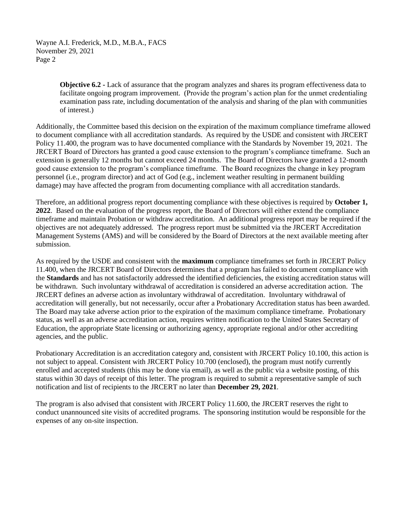Wayne A.I. Frederick, M.D., M.B.A., FACS November 29, 2021 Page 2

> **Objective 6.2 -** Lack of assurance that the program analyzes and shares its program effectiveness data to facilitate ongoing program improvement. (Provide the program's action plan for the unmet credentialing examination pass rate, including documentation of the analysis and sharing of the plan with communities of interest.)

Additionally, the Committee based this decision on the expiration of the maximum compliance timeframe allowed to document compliance with all accreditation standards. As required by the USDE and consistent with JRCERT Policy 11.400, the program was to have documented compliance with the Standards by November 19, 2021. The JRCERT Board of Directors has granted a good cause extension to the program's compliance timeframe. Such an extension is generally 12 months but cannot exceed 24 months. The Board of Directors have granted a 12-month good cause extension to the program's compliance timeframe. The Board recognizes the change in key program personnel (i.e., program director) and act of God (e.g., inclement weather resulting in permanent building damage) may have affected the program from documenting compliance with all accreditation standards.

Therefore, an additional progress report documenting compliance with these objectives is required by **October 1, 2022**. Based on the evaluation of the progress report, the Board of Directors will either extend the compliance timeframe and maintain Probation or withdraw accreditation. An additional progress report may be required if the objectives are not adequately addressed. The progress report must be submitted via the JRCERT Accreditation Management Systems (AMS) and will be considered by the Board of Directors at the next available meeting after submission.

As required by the USDE and consistent with the **maximum** compliance timeframes set forth in JRCERT Policy 11.400, when the JRCERT Board of Directors determines that a program has failed to document compliance with the **Standards** and has not satisfactorily addressed the identified deficiencies, the existing accreditation status will be withdrawn. Such involuntary withdrawal of accreditation is considered an adverse accreditation action. The JRCERT defines an adverse action as involuntary withdrawal of accreditation. Involuntary withdrawal of accreditation will generally, but not necessarily, occur after a Probationary Accreditation status has been awarded. The Board may take adverse action prior to the expiration of the maximum compliance timeframe. Probationary status, as well as an adverse accreditation action, requires written notification to the United States Secretary of Education, the appropriate State licensing or authorizing agency, appropriate regional and/or other accrediting agencies, and the public.

Probationary Accreditation is an accreditation category and, consistent with JRCERT Policy 10.100, this action is not subject to appeal. Consistent with JRCERT Policy 10.700 (enclosed), the program must notify currently enrolled and accepted students (this may be done via email), as well as the public via a website posting, of this status within 30 days of receipt of this letter. The program is required to submit a representative sample of such notification and list of recipients to the JRCERT no later than **December 29, 2021**.

The program is also advised that consistent with JRCERT Policy 11.600, the JRCERT reserves the right to conduct unannounced site visits of accredited programs. The sponsoring institution would be responsible for the expenses of any on-site inspection.